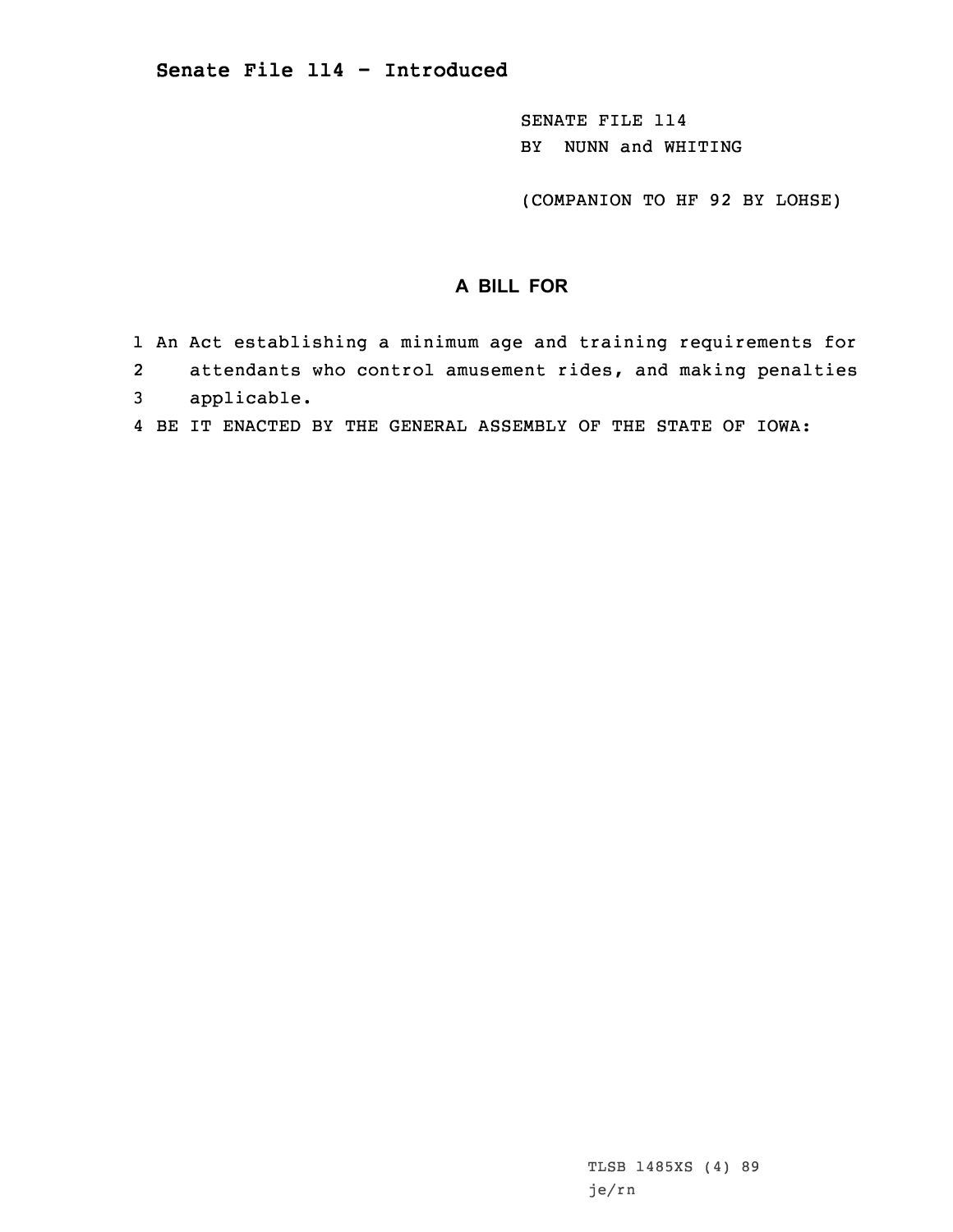SENATE FILE 114 BY NUNN and WHITING

(COMPANION TO HF 92 BY LOHSE)

## **A BILL FOR**

- 1 An Act establishing <sup>a</sup> minimum age and training requirements for
- 2attendants who control amusement rides, and making penalties
- 3 applicable.
- 4 BE IT ENACTED BY THE GENERAL ASSEMBLY OF THE STATE OF IOWA: